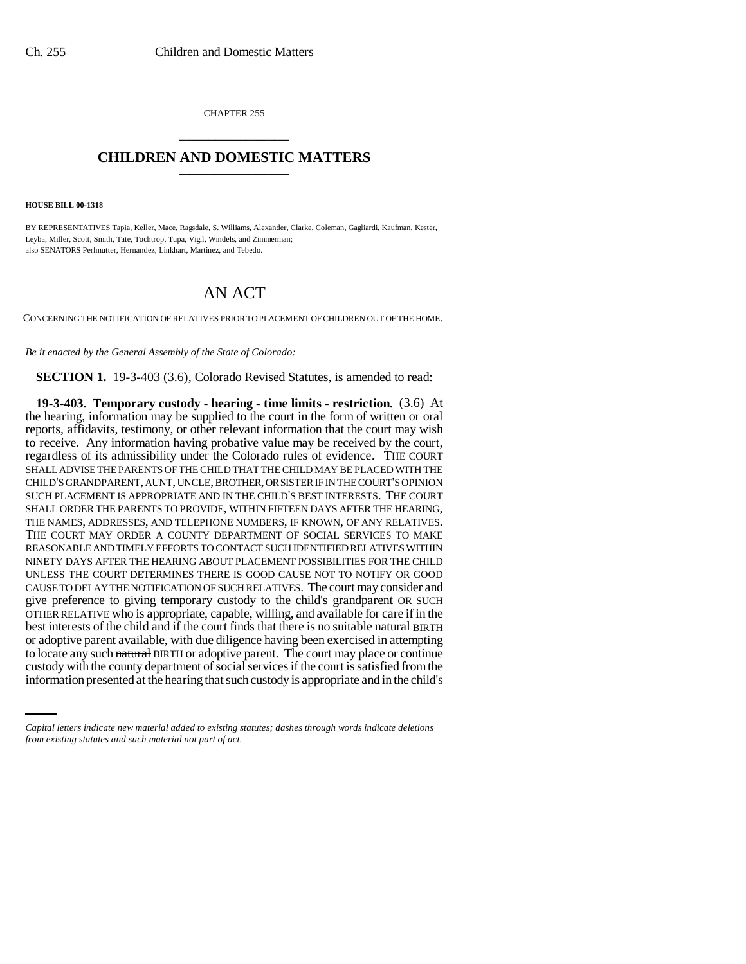CHAPTER 255 \_\_\_\_\_\_\_\_\_\_\_\_\_\_\_

## **CHILDREN AND DOMESTIC MATTERS** \_\_\_\_\_\_\_\_\_\_\_\_\_\_\_

**HOUSE BILL 00-1318** 

BY REPRESENTATIVES Tapia, Keller, Mace, Ragsdale, S. Williams, Alexander, Clarke, Coleman, Gagliardi, Kaufman, Kester, Leyba, Miller, Scott, Smith, Tate, Tochtrop, Tupa, Vigil, Windels, and Zimmerman; also SENATORS Perlmutter, Hernandez, Linkhart, Martinez, and Tebedo.

## AN ACT

CONCERNING THE NOTIFICATION OF RELATIVES PRIOR TO PLACEMENT OF CHILDREN OUT OF THE HOME.

*Be it enacted by the General Assembly of the State of Colorado:*

**SECTION 1.** 19-3-403 (3.6), Colorado Revised Statutes, is amended to read:

to locate any such natural BIRTH or adoptive parent. The court may place or continue **19-3-403. Temporary custody - hearing - time limits - restriction.** (3.6) At the hearing, information may be supplied to the court in the form of written or oral reports, affidavits, testimony, or other relevant information that the court may wish to receive. Any information having probative value may be received by the court, regardless of its admissibility under the Colorado rules of evidence. THE COURT SHALL ADVISE THE PARENTS OF THE CHILD THAT THE CHILD MAY BE PLACED WITH THE CHILD'S GRANDPARENT, AUNT, UNCLE, BROTHER, OR SISTER IF IN THE COURT'S OPINION SUCH PLACEMENT IS APPROPRIATE AND IN THE CHILD'S BEST INTERESTS. THE COURT SHALL ORDER THE PARENTS TO PROVIDE, WITHIN FIFTEEN DAYS AFTER THE HEARING, THE NAMES, ADDRESSES, AND TELEPHONE NUMBERS, IF KNOWN, OF ANY RELATIVES. THE COURT MAY ORDER A COUNTY DEPARTMENT OF SOCIAL SERVICES TO MAKE REASONABLE AND TIMELY EFFORTS TO CONTACT SUCH IDENTIFIED RELATIVES WITHIN NINETY DAYS AFTER THE HEARING ABOUT PLACEMENT POSSIBILITIES FOR THE CHILD UNLESS THE COURT DETERMINES THERE IS GOOD CAUSE NOT TO NOTIFY OR GOOD CAUSE TO DELAY THE NOTIFICATION OF SUCH RELATIVES. The court may consider and give preference to giving temporary custody to the child's grandparent OR SUCH OTHER RELATIVE who is appropriate, capable, willing, and available for care if in the best interests of the child and if the court finds that there is no suitable natural BIRTH or adoptive parent available, with due diligence having been exercised in attempting custody with the county department of social services if the court is satisfied from the information presented at the hearing that such custody is appropriate and in the child's

*Capital letters indicate new material added to existing statutes; dashes through words indicate deletions from existing statutes and such material not part of act.*